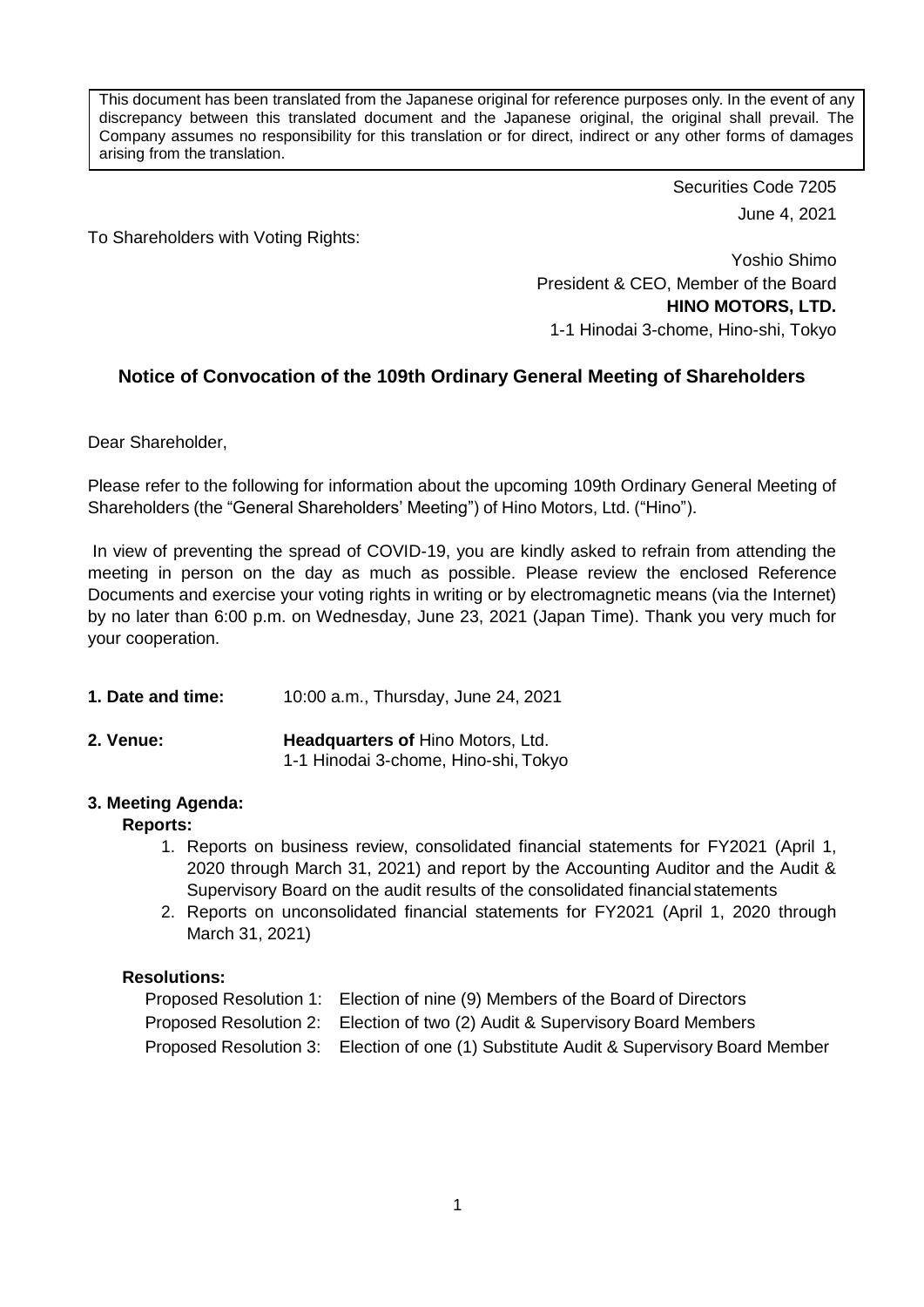This document has been translated from the Japanese original for reference purposes only. In the event of any discrepancy between this translated document and the Japanese original, the original shall prevail. The Company assumes no responsibility for this translation or for direct, indirect or any other forms of damages arising from the translation.

> Securities Code 7205 June 4, 2021

To Shareholders with Voting Rights:

Yoshio Shimo President & CEO, Member of the Board **HINO MOTORS, LTD.** 1-1 Hinodai 3-chome, Hino-shi, Tokyo

## **Notice of Convocation of the 109th Ordinary General Meeting of Shareholders**

Dear Shareholder,

Please refer to the following for information about the upcoming 109th Ordinary General Meeting of Shareholders (the "General Shareholders' Meeting") of Hino Motors, Ltd. ("Hino").

In view of preventing the spread of COVID-19, you are kindly asked to refrain from attending the meeting in person on the day as much as possible. Please review the enclosed Reference Documents and exercise your voting rights in writing or by electromagnetic means (via the Internet) by no later than 6:00 p.m. on Wednesday, June 23, 2021 (Japan Time). Thank you very much for your cooperation.

- **1. Date and time:** 10:00 a.m., Thursday, June 24, 2021
- **2. Venue: Headquarters of** Hino Motors, Ltd. 1-1 Hinodai 3-chome, Hino-shi, Tokyo

### **3. Meeting Agenda:**

### **Reports:**

- 1. Reports on business review, consolidated financial statements for FY2021 (April 1, 2020 through March 31, 2021) and report by the Accounting Auditor and the Audit & Supervisory Board on the audit results of the consolidated financial statements
- 2. Reports on unconsolidated financial statements for FY2021 (April 1, 2020 through March 31, 2021)

## **Resolutions:**

| Proposed Resolution 1: Election of nine (9) Members of the Board of Directors          |
|----------------------------------------------------------------------------------------|
| Proposed Resolution 2: Election of two (2) Audit & Supervisory Board Members           |
| Proposed Resolution 3: Election of one (1) Substitute Audit & Supervisory Board Member |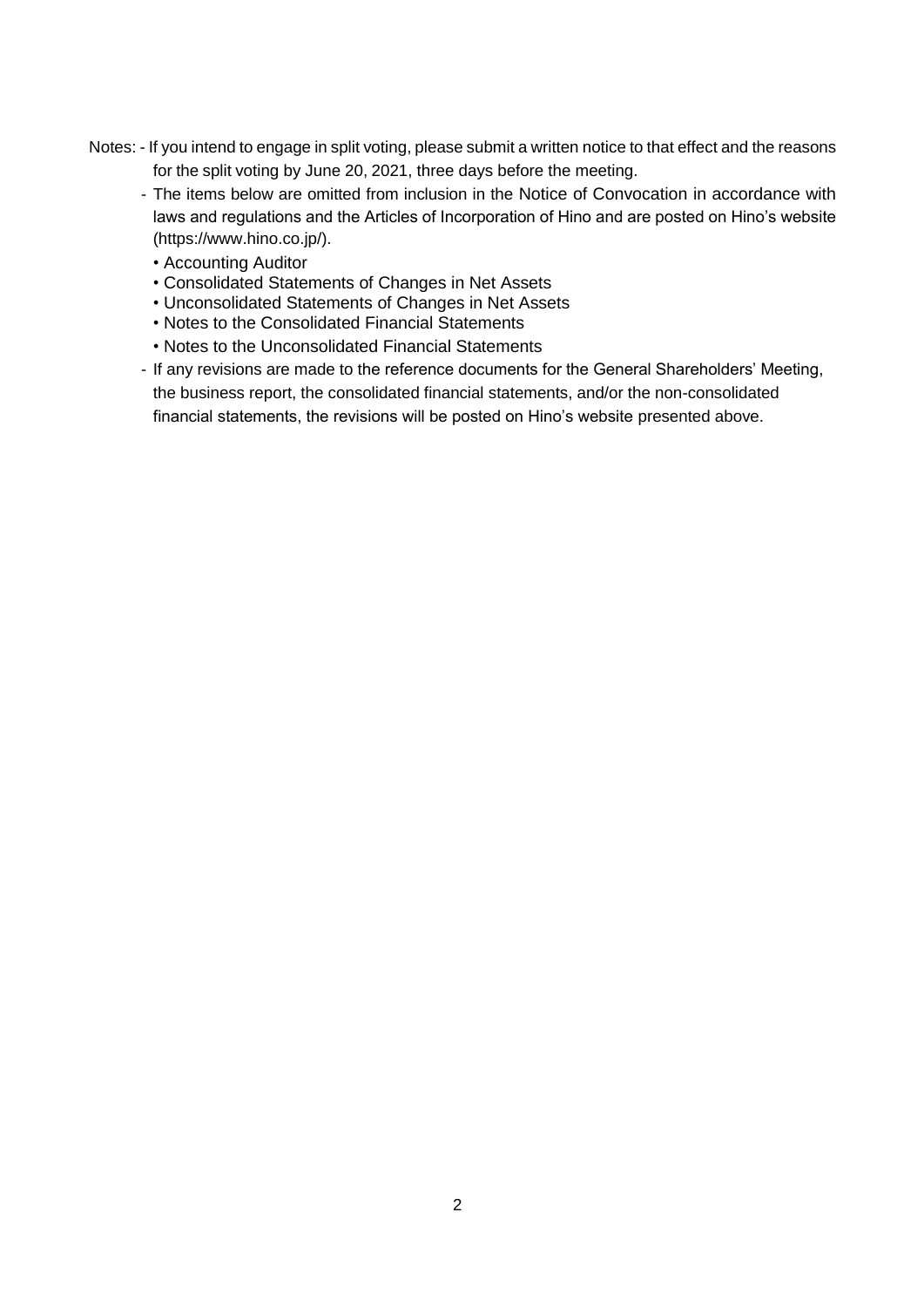- Notes: If you intend to engage in split voting, please submit a written notice to that effect and the reasons for the split voting by June 20, 2021, three days before the meeting.
	- The items below are omitted from inclusion in the Notice of Convocation in accordance with laws and regulations and the Articles of Incorporation of Hino and are posted on Hino's website [\(https://www.hino.co.jp/\).](https://www.hino.co.jp/).)
		- Accounting Auditor
		- Consolidated Statements of Changes in Net Assets
		- Unconsolidated Statements of Changes in Net Assets
		- Notes to the Consolidated Financial Statements
		- Notes to the Unconsolidated Financial Statements
	- If any revisions are made to the reference documents for the General Shareholders' Meeting, the business report, the consolidated financial statements, and/or the non-consolidated financial statements, the revisions will be posted on Hino's website presented above.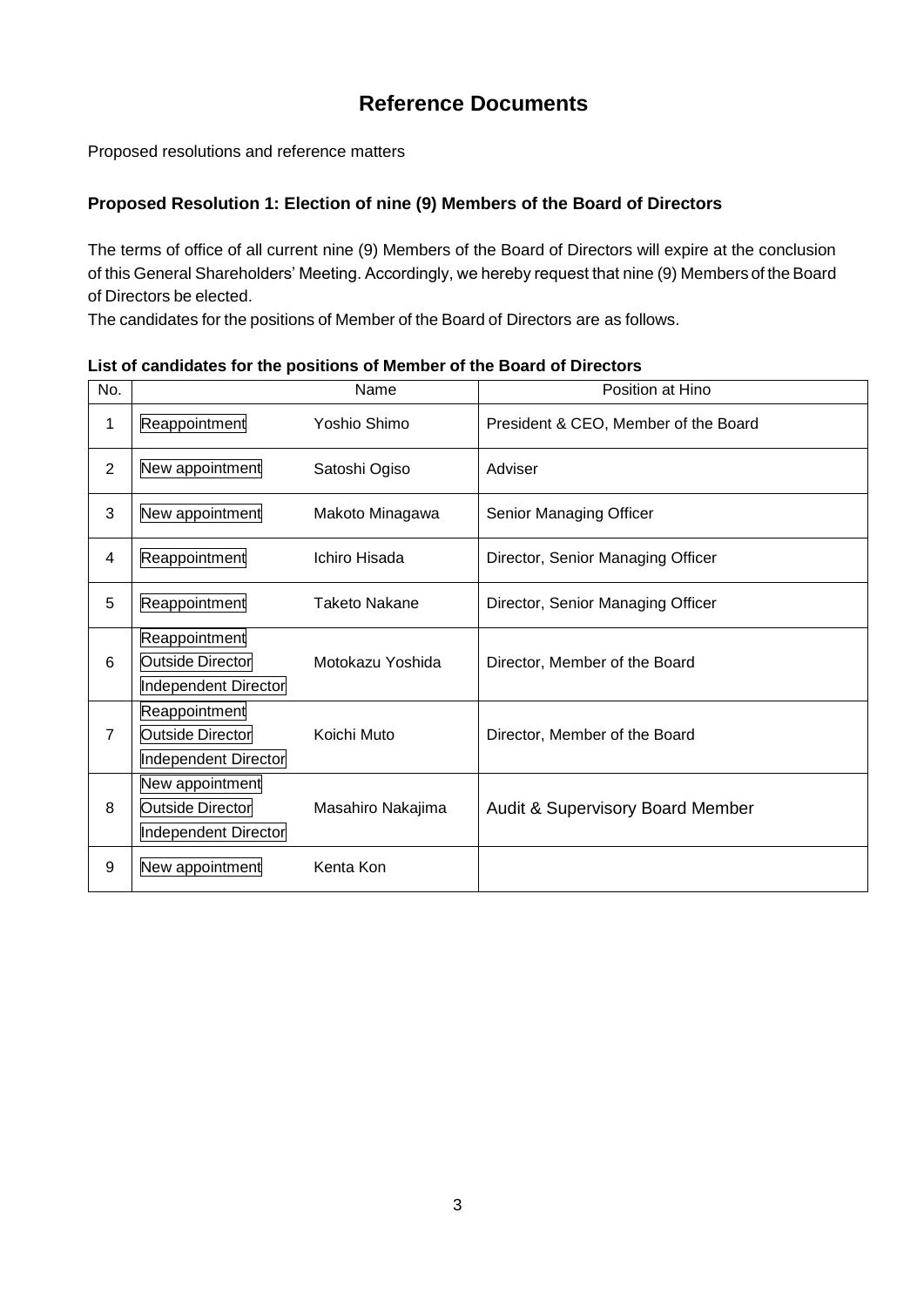# **Reference Documents**

Proposed resolutions and reference matters

### **Proposed Resolution 1: Election of nine (9) Members of the Board of Directors**

The terms of office of all current nine (9) Members of the Board of Directors will expire at the conclusion of this General Shareholders' Meeting. Accordingly, we hereby request that nine (9) Members of the Board of Directors be elected.

The candidates for the positions of Member of the Board of Directors are as follows.

| No.            |                                                                  | Name                 | Position at Hino                            |
|----------------|------------------------------------------------------------------|----------------------|---------------------------------------------|
| 1              | Reappointment                                                    | Yoshio Shimo         | President & CEO, Member of the Board        |
| 2              | New appointment                                                  | Satoshi Ogiso        | Adviser                                     |
| 3              | New appointment                                                  | Makoto Minagawa      | Senior Managing Officer                     |
| 4              | Reappointment                                                    | Ichiro Hisada        | Director, Senior Managing Officer           |
| 5              | Reappointment                                                    | <b>Taketo Nakane</b> | Director, Senior Managing Officer           |
| 6              | Reappointment<br>Outside Director<br>Independent Director        | Motokazu Yoshida     | Director, Member of the Board               |
| $\overline{7}$ | Reappointment<br><b>Outside Director</b><br>Independent Director | Koichi Muto          | Director, Member of the Board               |
| 8              | New appointment<br>Outside Director<br>Independent Director      | Masahiro Nakajima    | <b>Audit &amp; Supervisory Board Member</b> |
| 9              | New appointment                                                  | Kenta Kon            |                                             |

**List of candidates for the positions of Member of the Board of Directors**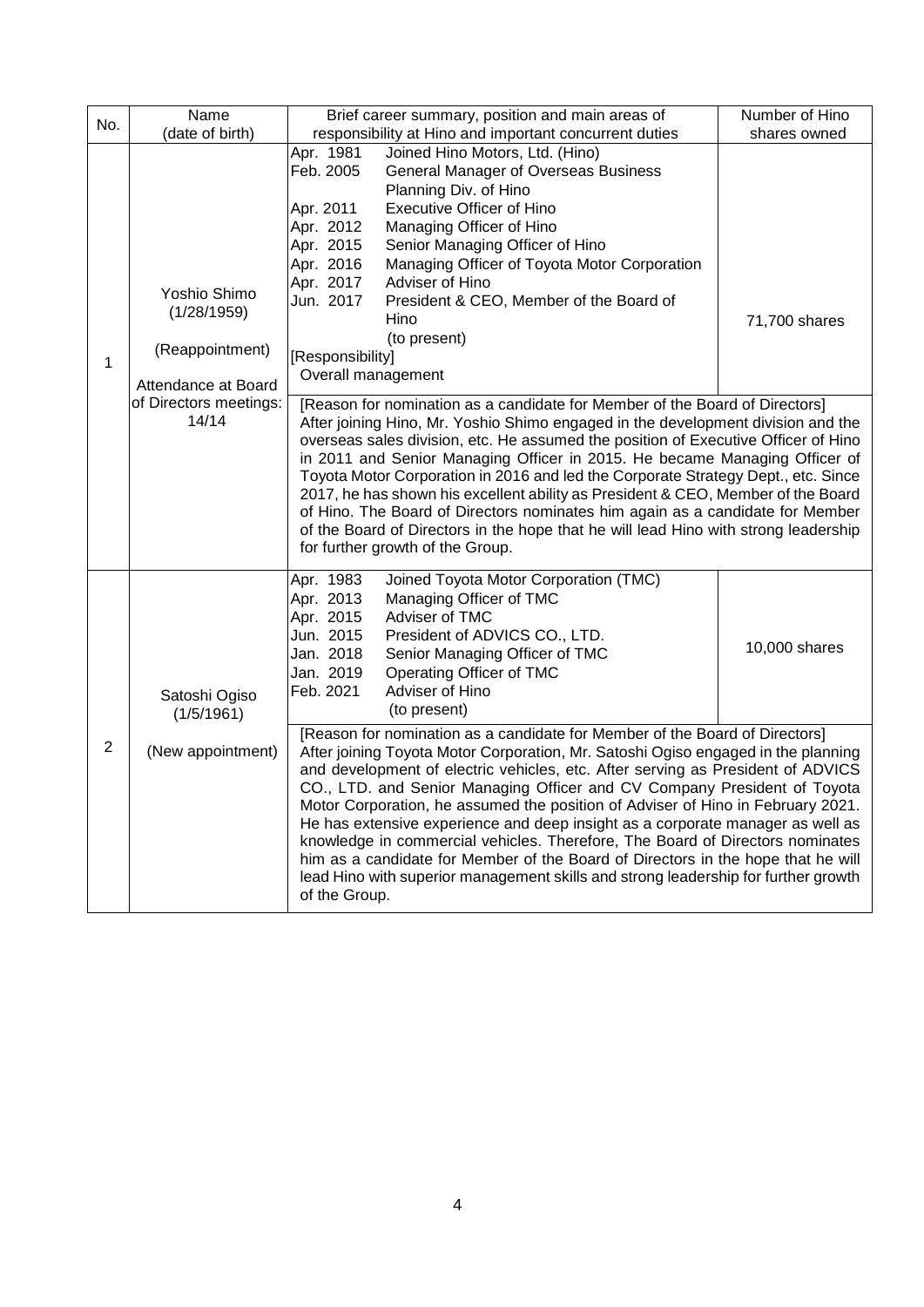| No.            | Name                                                                  | Brief career summary, position and main areas of                                                                                                                                                                                                                                                                                                                                                                                                                                                                                                                                                                                                                                                                         | Number of Hino |
|----------------|-----------------------------------------------------------------------|--------------------------------------------------------------------------------------------------------------------------------------------------------------------------------------------------------------------------------------------------------------------------------------------------------------------------------------------------------------------------------------------------------------------------------------------------------------------------------------------------------------------------------------------------------------------------------------------------------------------------------------------------------------------------------------------------------------------------|----------------|
|                | (date of birth)                                                       | responsibility at Hino and important concurrent duties                                                                                                                                                                                                                                                                                                                                                                                                                                                                                                                                                                                                                                                                   | shares owned   |
| 1              | Yoshio Shimo<br>(1/28/1959)<br>(Reappointment)<br>Attendance at Board | Apr. 1981<br>Joined Hino Motors, Ltd. (Hino)<br>Feb. 2005<br><b>General Manager of Overseas Business</b><br>Planning Div. of Hino<br>Apr. 2011<br><b>Executive Officer of Hino</b><br>Apr. 2012<br>Managing Officer of Hino<br>Apr. 2015<br>Senior Managing Officer of Hino<br>Apr. 2016<br>Managing Officer of Toyota Motor Corporation<br>Apr. 2017<br>Adviser of Hino<br>Jun. 2017<br>President & CEO, Member of the Board of<br>Hino<br>(to present)<br>[Responsibility]<br>Overall management                                                                                                                                                                                                                       | 71,700 shares  |
|                | of Directors meetings:<br>14/14                                       | [Reason for nomination as a candidate for Member of the Board of Directors]<br>After joining Hino, Mr. Yoshio Shimo engaged in the development division and the<br>overseas sales division, etc. He assumed the position of Executive Officer of Hino<br>in 2011 and Senior Managing Officer in 2015. He became Managing Officer of<br>Toyota Motor Corporation in 2016 and led the Corporate Strategy Dept., etc. Since<br>2017, he has shown his excellent ability as President & CEO, Member of the Board<br>of Hino. The Board of Directors nominates him again as a candidate for Member<br>of the Board of Directors in the hope that he will lead Hino with strong leadership<br>for further growth of the Group. |                |
|                | Satoshi Ogiso<br>(1/5/1961)                                           | Apr. 1983<br>Joined Toyota Motor Corporation (TMC)<br>Apr. 2013<br>Managing Officer of TMC<br>Apr. 2015<br>Adviser of TMC<br>Jun. 2015<br>President of ADVICS CO., LTD.<br>Jan. 2018<br>Senior Managing Officer of TMC<br>Jan. 2019<br>Operating Officer of TMC<br>Adviser of Hino<br>Feb. 2021<br>(to present)<br>[Reason for nomination as a candidate for Member of the Board of Directors]                                                                                                                                                                                                                                                                                                                           | 10,000 shares  |
| $\overline{2}$ | (New appointment)                                                     | After joining Toyota Motor Corporation, Mr. Satoshi Ogiso engaged in the planning<br>and development of electric vehicles, etc. After serving as President of ADVICS<br>CO., LTD. and Senior Managing Officer and CV Company President of Toyota<br>Motor Corporation, he assumed the position of Adviser of Hino in February 2021.<br>He has extensive experience and deep insight as a corporate manager as well as<br>knowledge in commercial vehicles. Therefore, The Board of Directors nominates<br>him as a candidate for Member of the Board of Directors in the hope that he will<br>lead Hino with superior management skills and strong leadership for further growth<br>of the Group.                        |                |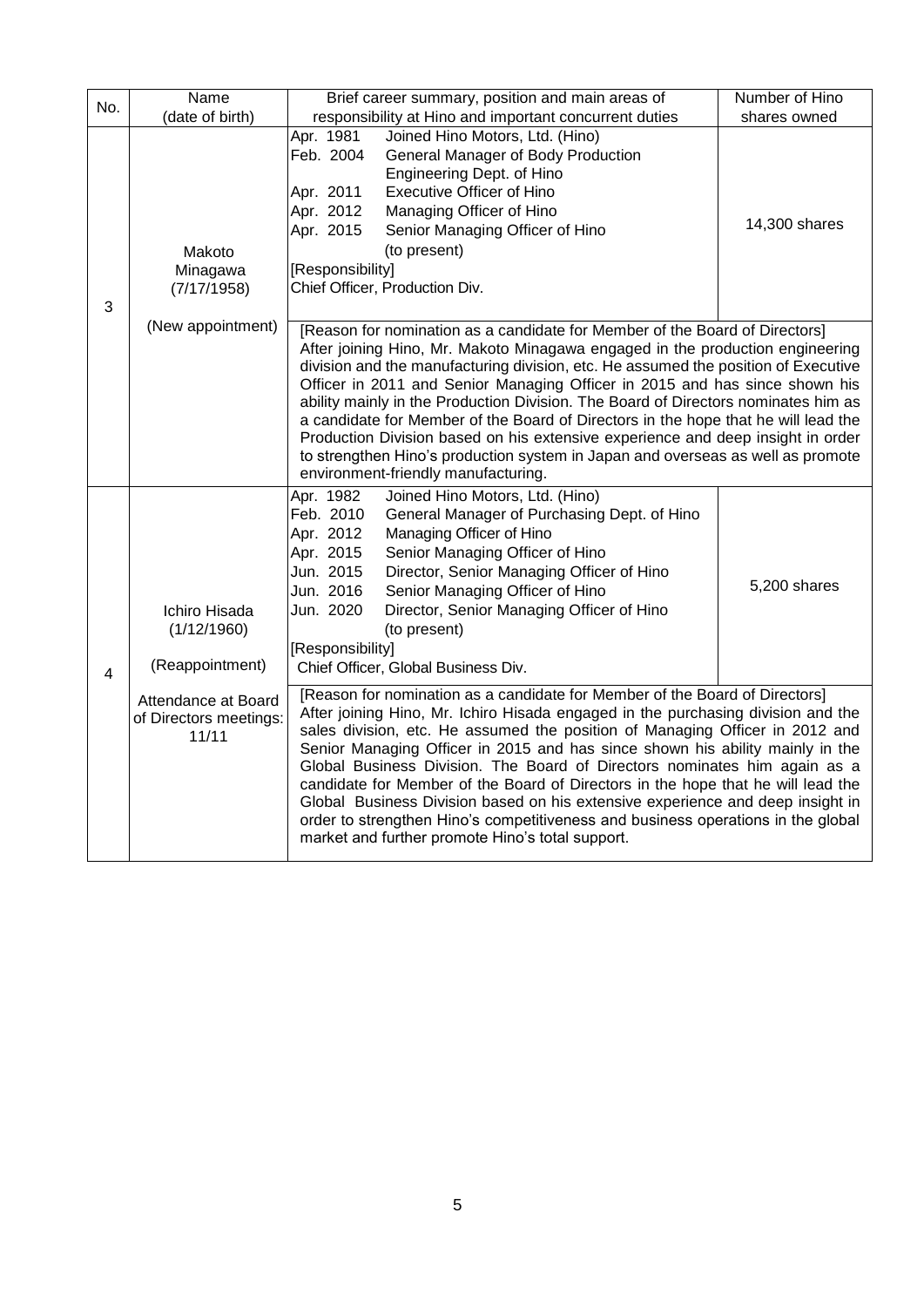| No. | Name                                                   | Brief career summary, position and main areas of                                                                                                                                                                                                                                                                                                                                                                                                                                                                                                                                                                                                                                                                            | Number of Hino |  |
|-----|--------------------------------------------------------|-----------------------------------------------------------------------------------------------------------------------------------------------------------------------------------------------------------------------------------------------------------------------------------------------------------------------------------------------------------------------------------------------------------------------------------------------------------------------------------------------------------------------------------------------------------------------------------------------------------------------------------------------------------------------------------------------------------------------------|----------------|--|
|     | (date of birth)                                        | responsibility at Hino and important concurrent duties                                                                                                                                                                                                                                                                                                                                                                                                                                                                                                                                                                                                                                                                      | shares owned   |  |
| 3   | Makoto<br>Minagawa<br>(7/17/1958)                      | Apr. 1981<br>Joined Hino Motors, Ltd. (Hino)<br>Feb. 2004<br>General Manager of Body Production<br>Engineering Dept. of Hino<br>Apr. 2011<br><b>Executive Officer of Hino</b><br>Apr. 2012<br>Managing Officer of Hino<br>Apr. 2015<br>Senior Managing Officer of Hino<br>(to present)<br>[Responsibility]<br>Chief Officer, Production Div.                                                                                                                                                                                                                                                                                                                                                                                | 14,300 shares  |  |
|     | (New appointment)                                      | [Reason for nomination as a candidate for Member of the Board of Directors]<br>After joining Hino, Mr. Makoto Minagawa engaged in the production engineering<br>division and the manufacturing division, etc. He assumed the position of Executive<br>Officer in 2011 and Senior Managing Officer in 2015 and has since shown his<br>ability mainly in the Production Division. The Board of Directors nominates him as<br>a candidate for Member of the Board of Directors in the hope that he will lead the<br>Production Division based on his extensive experience and deep insight in order<br>to strengthen Hino's production system in Japan and overseas as well as promote<br>environment-friendly manufacturing.  |                |  |
| 4   | Ichiro Hisada<br>(1/12/1960)<br>(Reappointment)        | Apr. 1982<br>Joined Hino Motors, Ltd. (Hino)<br>Feb. 2010<br>General Manager of Purchasing Dept. of Hino<br>Apr. 2012<br>Managing Officer of Hino<br>Apr. 2015<br>Senior Managing Officer of Hino<br>Jun. 2015<br>Director, Senior Managing Officer of Hino<br>Jun. 2016<br>Senior Managing Officer of Hino<br>Jun. 2020<br>Director, Senior Managing Officer of Hino<br>(to present)<br>[Responsibility]<br>Chief Officer, Global Business Div.                                                                                                                                                                                                                                                                            | 5,200 shares   |  |
|     | Attendance at Board<br>of Directors meetings:<br>11/11 | [Reason for nomination as a candidate for Member of the Board of Directors]<br>After joining Hino, Mr. Ichiro Hisada engaged in the purchasing division and the<br>sales division, etc. He assumed the position of Managing Officer in 2012 and<br>Senior Managing Officer in 2015 and has since shown his ability mainly in the<br>Global Business Division. The Board of Directors nominates him again as a<br>candidate for Member of the Board of Directors in the hope that he will lead the<br>Global Business Division based on his extensive experience and deep insight in<br>order to strengthen Hino's competitiveness and business operations in the global<br>market and further promote Hino's total support. |                |  |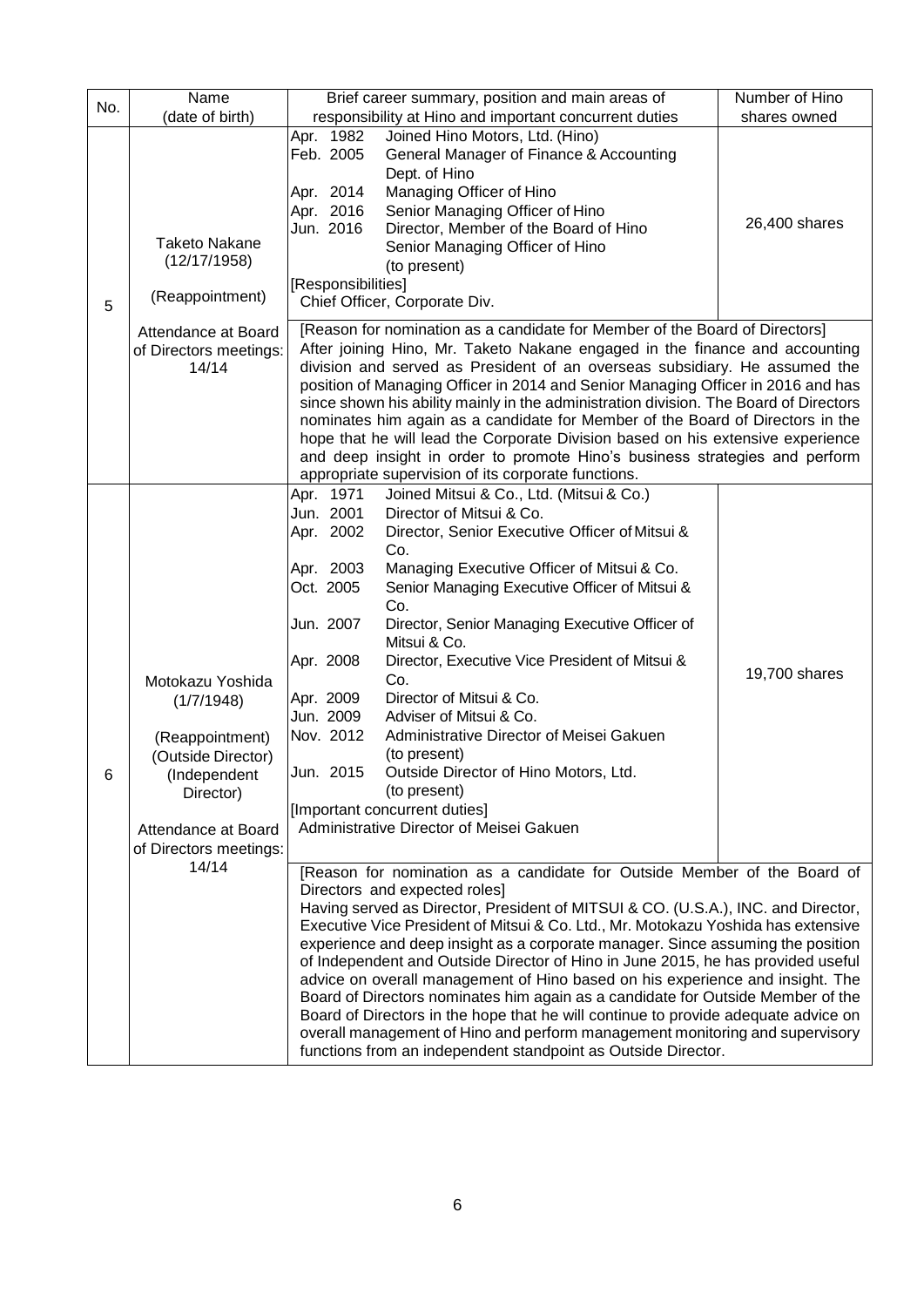| No. | Name                                                                                                                                                  | Brief career summary, position and main areas of                                                                                                                                                                                                                                                                                                                                                                                                                                                                                                                                                                                                                                                                                                                                                                                                                      | Number of Hino |
|-----|-------------------------------------------------------------------------------------------------------------------------------------------------------|-----------------------------------------------------------------------------------------------------------------------------------------------------------------------------------------------------------------------------------------------------------------------------------------------------------------------------------------------------------------------------------------------------------------------------------------------------------------------------------------------------------------------------------------------------------------------------------------------------------------------------------------------------------------------------------------------------------------------------------------------------------------------------------------------------------------------------------------------------------------------|----------------|
|     | (date of birth)                                                                                                                                       | responsibility at Hino and important concurrent duties                                                                                                                                                                                                                                                                                                                                                                                                                                                                                                                                                                                                                                                                                                                                                                                                                | shares owned   |
| 5   | <b>Taketo Nakane</b><br>(12/17/1958)<br>(Reappointment)                                                                                               | Joined Hino Motors, Ltd. (Hino)<br>Apr. 1982<br>Feb. 2005<br>General Manager of Finance & Accounting<br>Dept. of Hino<br>Managing Officer of Hino<br>Apr. 2014<br>Apr. 2016<br>Senior Managing Officer of Hino<br>Jun. 2016<br>Director, Member of the Board of Hino<br>Senior Managing Officer of Hino<br>(to present)<br>[Responsibilities]<br>Chief Officer, Corporate Div.                                                                                                                                                                                                                                                                                                                                                                                                                                                                                        | 26,400 shares  |
|     | Attendance at Board<br>of Directors meetings:<br>14/14                                                                                                | [Reason for nomination as a candidate for Member of the Board of Directors]<br>After joining Hino, Mr. Taketo Nakane engaged in the finance and accounting<br>division and served as President of an overseas subsidiary. He assumed the<br>position of Managing Officer in 2014 and Senior Managing Officer in 2016 and has<br>since shown his ability mainly in the administration division. The Board of Directors<br>nominates him again as a candidate for Member of the Board of Directors in the<br>hope that he will lead the Corporate Division based on his extensive experience<br>and deep insight in order to promote Hino's business strategies and perform<br>appropriate supervision of its corporate functions.                                                                                                                                      |                |
| 6   | Motokazu Yoshida<br>(1/7/1948)<br>(Reappointment)<br>(Outside Director)<br>(Independent<br>Director)<br>Attendance at Board<br>of Directors meetings: | Apr. 1971<br>Joined Mitsui & Co., Ltd. (Mitsui & Co.)<br>Jun. 2001<br>Director of Mitsui & Co.<br>Apr. 2002<br>Director, Senior Executive Officer of Mitsui &<br>Co.<br>Apr. 2003<br>Managing Executive Officer of Mitsui & Co.<br>Senior Managing Executive Officer of Mitsui &<br>Oct. 2005<br>Co.<br>Jun. 2007<br>Director, Senior Managing Executive Officer of<br>Mitsui & Co.<br>Apr. 2008<br>Director, Executive Vice President of Mitsui &<br>Co.<br>Apr. 2009<br>Director of Mitsui & Co.<br>Jun. 2009<br>Adviser of Mitsui & Co.<br>Nov. 2012<br>Administrative Director of Meisei Gakuen<br>(to present)<br>Outside Director of Hino Motors, Ltd.<br>Jun. 2015<br>(to present)<br>[Important concurrent duties]<br>Administrative Director of Meisei Gakuen                                                                                                | 19,700 shares  |
|     | 14/14                                                                                                                                                 | [Reason for nomination as a candidate for Outside Member of the Board of<br>Directors and expected roles]<br>Having served as Director, President of MITSUI & CO. (U.S.A.), INC. and Director,<br>Executive Vice President of Mitsui & Co. Ltd., Mr. Motokazu Yoshida has extensive<br>experience and deep insight as a corporate manager. Since assuming the position<br>of Independent and Outside Director of Hino in June 2015, he has provided useful<br>advice on overall management of Hino based on his experience and insight. The<br>Board of Directors nominates him again as a candidate for Outside Member of the<br>Board of Directors in the hope that he will continue to provide adequate advice on<br>overall management of Hino and perform management monitoring and supervisory<br>functions from an independent standpoint as Outside Director. |                |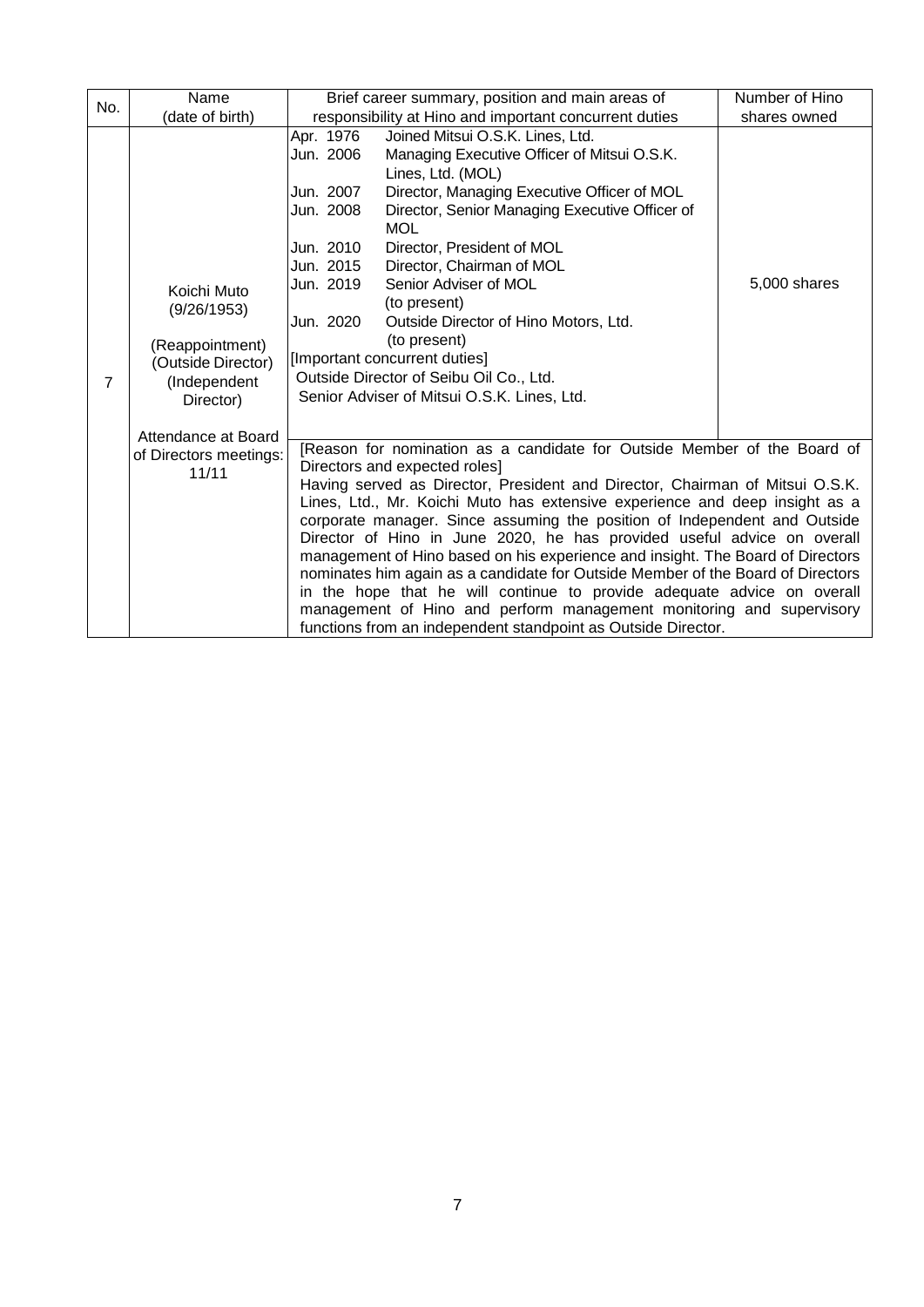| No. | Name                                                                                             |                                                                                                      | Brief career summary, position and main areas of                                                                                                                                                                                                                                                                                                                                                                                                                                                                                                                                                                                                                                                                                                                                                                          | Number of Hino |
|-----|--------------------------------------------------------------------------------------------------|------------------------------------------------------------------------------------------------------|---------------------------------------------------------------------------------------------------------------------------------------------------------------------------------------------------------------------------------------------------------------------------------------------------------------------------------------------------------------------------------------------------------------------------------------------------------------------------------------------------------------------------------------------------------------------------------------------------------------------------------------------------------------------------------------------------------------------------------------------------------------------------------------------------------------------------|----------------|
|     | (date of birth)                                                                                  |                                                                                                      | responsibility at Hino and important concurrent duties                                                                                                                                                                                                                                                                                                                                                                                                                                                                                                                                                                                                                                                                                                                                                                    | shares owned   |
| 7   | Koichi Muto<br>(9/26/1953)<br>(Reappointment)<br>(Outside Director)<br>(Independent<br>Director) | Apr. 1976<br>Jun. 2006<br>Jun. 2007<br>Jun. 2008<br>Jun. 2010<br>Jun. 2015<br>Jun. 2019<br>Jun. 2020 | Joined Mitsui O.S.K. Lines, Ltd.<br>Managing Executive Officer of Mitsui O.S.K.<br>Lines, Ltd. (MOL)<br>Director, Managing Executive Officer of MOL<br>Director, Senior Managing Executive Officer of<br><b>MOL</b><br>Director, President of MOL<br>Director, Chairman of MOL<br>Senior Adviser of MOL<br>(to present)<br>Outside Director of Hino Motors, Ltd.<br>(to present)<br>[Important concurrent duties]<br>Outside Director of Seibu Oil Co., Ltd.<br>Senior Adviser of Mitsui O.S.K. Lines, Ltd.                                                                                                                                                                                                                                                                                                               | 5,000 shares   |
|     | Attendance at Board<br>of Directors meetings:<br>11/11                                           |                                                                                                      | [Reason for nomination as a candidate for Outside Member of the Board of<br>Directors and expected roles]<br>Having served as Director, President and Director, Chairman of Mitsui O.S.K.<br>Lines, Ltd., Mr. Koichi Muto has extensive experience and deep insight as a<br>corporate manager. Since assuming the position of Independent and Outside<br>Director of Hino in June 2020, he has provided useful advice on overall<br>management of Hino based on his experience and insight. The Board of Directors<br>nominates him again as a candidate for Outside Member of the Board of Directors<br>in the hope that he will continue to provide adequate advice on overall<br>management of Hino and perform management monitoring and supervisory<br>functions from an independent standpoint as Outside Director. |                |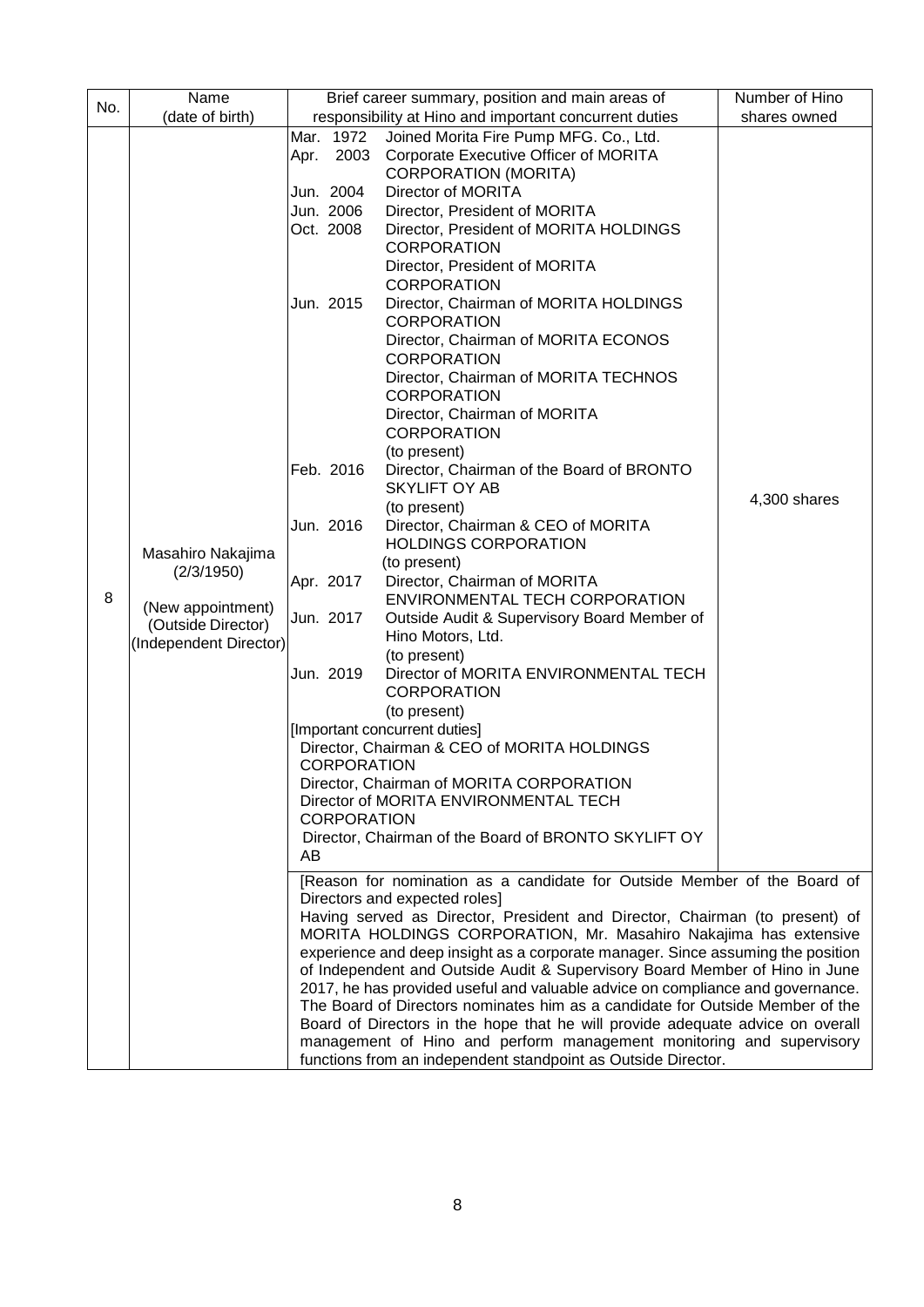|     | Name                   |      |                    | Brief career summary, position and main areas of                                                                                                              | Number of Hino |
|-----|------------------------|------|--------------------|---------------------------------------------------------------------------------------------------------------------------------------------------------------|----------------|
| No. | (date of birth)        |      |                    | responsibility at Hino and important concurrent duties                                                                                                        | shares owned   |
|     |                        |      | Mar. 1972          | Joined Morita Fire Pump MFG. Co., Ltd.                                                                                                                        |                |
|     |                        | Apr. | 2003               | Corporate Executive Officer of MORITA                                                                                                                         |                |
|     |                        |      |                    | <b>CORPORATION (MORITA)</b>                                                                                                                                   |                |
|     |                        |      | Jun. 2004          | Director of MORITA                                                                                                                                            |                |
|     |                        |      | Jun. 2006          | Director, President of MORITA                                                                                                                                 |                |
|     |                        |      | Oct. 2008          | Director, President of MORITA HOLDINGS<br><b>CORPORATION</b>                                                                                                  |                |
|     |                        |      |                    | Director, President of MORITA                                                                                                                                 |                |
|     |                        |      |                    | <b>CORPORATION</b>                                                                                                                                            |                |
|     |                        |      | Jun. 2015          | Director, Chairman of MORITA HOLDINGS                                                                                                                         |                |
|     |                        |      |                    | <b>CORPORATION</b><br>Director, Chairman of MORITA ECONOS                                                                                                     |                |
|     |                        |      |                    | <b>CORPORATION</b>                                                                                                                                            |                |
|     |                        |      |                    | Director, Chairman of MORITA TECHNOS<br><b>CORPORATION</b>                                                                                                    |                |
|     |                        |      |                    | Director, Chairman of MORITA<br><b>CORPORATION</b>                                                                                                            |                |
|     |                        |      |                    | (to present)                                                                                                                                                  |                |
|     |                        |      | Feb. 2016          | Director, Chairman of the Board of BRONTO                                                                                                                     |                |
|     |                        |      |                    | <b>SKYLIFT OY AB</b>                                                                                                                                          |                |
|     |                        |      |                    | (to present)                                                                                                                                                  | 4,300 shares   |
|     |                        |      | Jun. 2016          | Director, Chairman & CEO of MORITA<br><b>HOLDINGS CORPORATION</b>                                                                                             |                |
|     | Masahiro Nakajima      |      |                    | (to present)                                                                                                                                                  |                |
|     | (2/3/1950)             |      | Apr. 2017          | Director, Chairman of MORITA                                                                                                                                  |                |
| 8   | (New appointment)      |      |                    | ENVIRONMENTAL TECH CORPORATION                                                                                                                                |                |
|     | (Outside Director)     |      | Jun. 2017          | Outside Audit & Supervisory Board Member of                                                                                                                   |                |
|     | (Independent Director) |      |                    | Hino Motors, Ltd.                                                                                                                                             |                |
|     |                        |      |                    | (to present)                                                                                                                                                  |                |
|     |                        |      | Jun. 2019          | Director of MORITA ENVIRONMENTAL TECH<br><b>CORPORATION</b>                                                                                                   |                |
|     |                        |      |                    | (to present)                                                                                                                                                  |                |
|     |                        |      |                    | [Important concurrent duties]                                                                                                                                 |                |
|     |                        |      |                    | Director, Chairman & CEO of MORITA HOLDINGS                                                                                                                   |                |
|     |                        |      | <b>CORPORATION</b> | Director, Chairman of MORITA CORPORATION                                                                                                                      |                |
|     |                        |      |                    | Director of MORITA ENVIRONMENTAL TECH                                                                                                                         |                |
|     |                        |      | <b>CORPORATION</b> |                                                                                                                                                               |                |
|     |                        |      |                    | Director, Chairman of the Board of BRONTO SKYLIFT OY                                                                                                          |                |
|     |                        | AB   |                    |                                                                                                                                                               |                |
|     |                        |      |                    | [Reason for nomination as a candidate for Outside Member of the Board of<br>Directors and expected roles]                                                     |                |
|     |                        |      |                    | Having served as Director, President and Director, Chairman (to present) of                                                                                   |                |
|     |                        |      |                    | MORITA HOLDINGS CORPORATION, Mr. Masahiro Nakajima has extensive                                                                                              |                |
|     |                        |      |                    | experience and deep insight as a corporate manager. Since assuming the position                                                                               |                |
|     |                        |      |                    | of Independent and Outside Audit & Supervisory Board Member of Hino in June<br>2017, he has provided useful and valuable advice on compliance and governance. |                |
|     |                        |      |                    | The Board of Directors nominates him as a candidate for Outside Member of the                                                                                 |                |
|     |                        |      |                    | Board of Directors in the hope that he will provide adequate advice on overall                                                                                |                |
|     |                        |      |                    | management of Hino and perform management monitoring and supervisory                                                                                          |                |
|     |                        |      |                    | functions from an independent standpoint as Outside Director.                                                                                                 |                |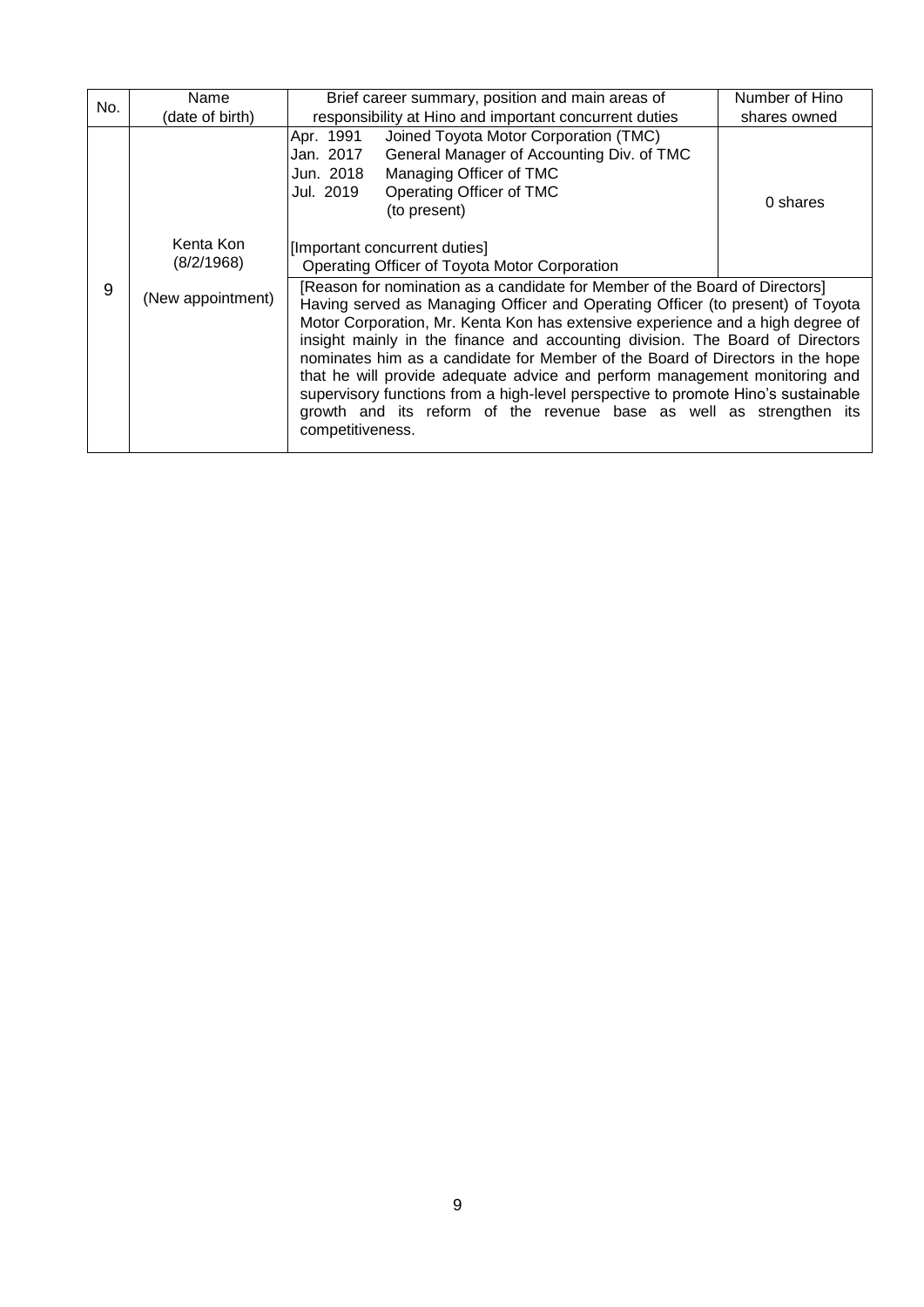| No. | Name                    | Brief career summary, position and main areas of                                                                                                                                                                                                                                                                                                                                                                                                                                                                                                                                                                                                                                | Number of Hino |
|-----|-------------------------|---------------------------------------------------------------------------------------------------------------------------------------------------------------------------------------------------------------------------------------------------------------------------------------------------------------------------------------------------------------------------------------------------------------------------------------------------------------------------------------------------------------------------------------------------------------------------------------------------------------------------------------------------------------------------------|----------------|
|     | (date of birth)         | responsibility at Hino and important concurrent duties                                                                                                                                                                                                                                                                                                                                                                                                                                                                                                                                                                                                                          | shares owned   |
|     |                         | Joined Toyota Motor Corporation (TMC)<br>Apr. 1991<br>General Manager of Accounting Div. of TMC<br>Jan. 2017<br>Managing Officer of TMC<br>Jun. 2018<br>Operating Officer of TMC<br>Jul. 2019<br>(to present)                                                                                                                                                                                                                                                                                                                                                                                                                                                                   | 0 shares       |
|     | Kenta Kon<br>(8/2/1968) | [Important concurrent duties]<br>Operating Officer of Toyota Motor Corporation                                                                                                                                                                                                                                                                                                                                                                                                                                                                                                                                                                                                  |                |
| 9   | (New appointment)       | [Reason for nomination as a candidate for Member of the Board of Directors]<br>Having served as Managing Officer and Operating Officer (to present) of Toyota<br>Motor Corporation, Mr. Kenta Kon has extensive experience and a high degree of<br>insight mainly in the finance and accounting division. The Board of Directors<br>nominates him as a candidate for Member of the Board of Directors in the hope<br>that he will provide adequate advice and perform management monitoring and<br>supervisory functions from a high-level perspective to promote Hino's sustainable<br>growth and its reform of the revenue base as well as strengthen its<br>competitiveness. |                |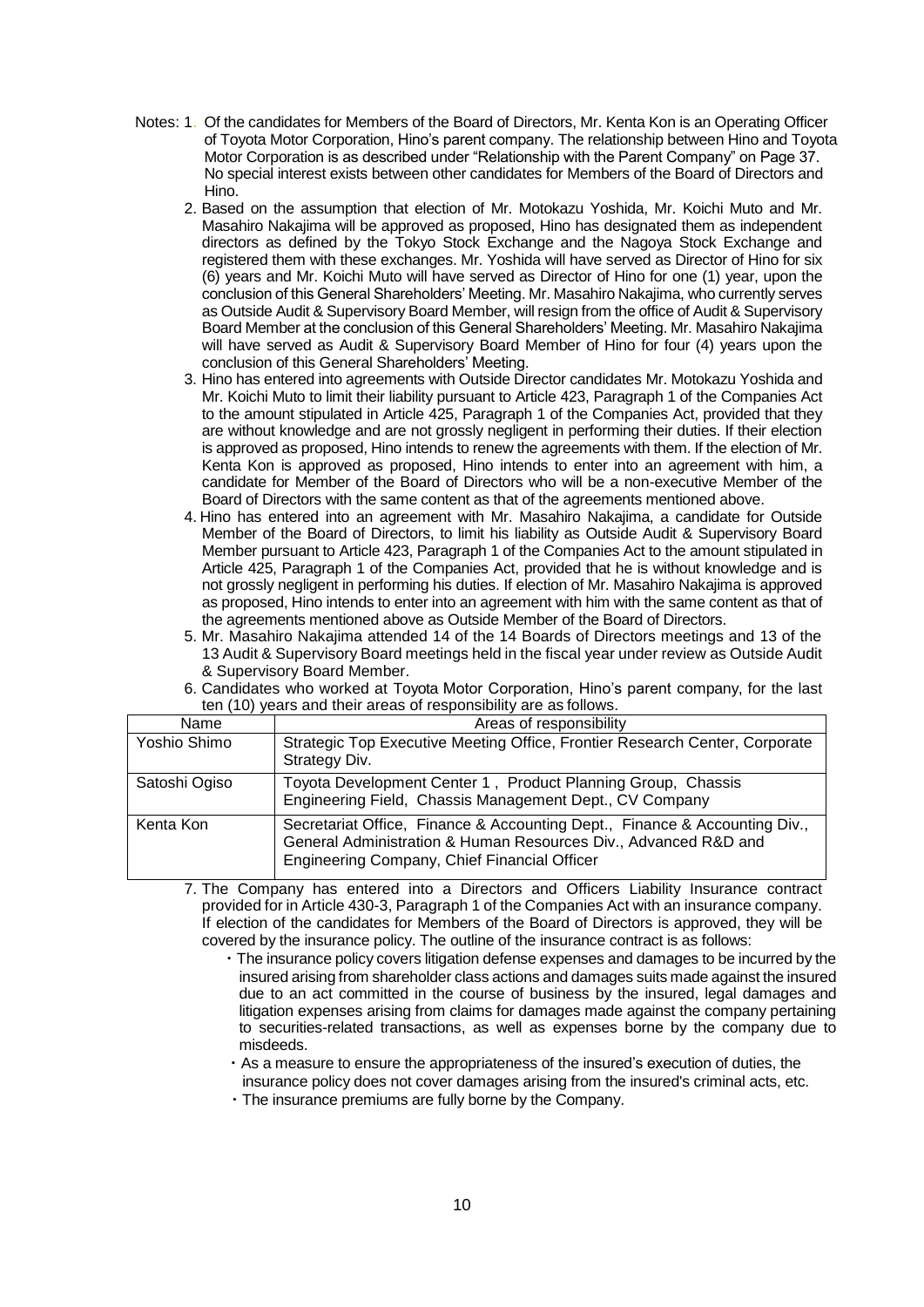- Notes: 1. Of the candidates for Members of the Board of Directors, Mr. Kenta Kon is an Operating Officer of Toyota Motor Corporation, Hino's parent company. The relationship between Hino and Toyota Motor Corporation is as described under "Relationship with the Parent Company" on Page 37. No special interest exists between other candidates for Members of the Board of Directors and Hino.
	- 2. Based on the assumption that election of Mr. Motokazu Yoshida, Mr. Koichi Muto and Mr. Masahiro Nakajima will be approved as proposed, Hino has designated them as independent directors as defined by the Tokyo Stock Exchange and the Nagoya Stock Exchange and registered them with these exchanges. Mr. Yoshida will have served as Director of Hino for six (6) years and Mr. Koichi Muto will have served as Director of Hino for one (1) year, upon the conclusion of this General Shareholders' Meeting. Mr. Masahiro Nakajima, who currently serves as Outside Audit & Supervisory Board Member, will resign from the office of Audit & Supervisory Board Member at the conclusion of this General Shareholders' Meeting. Mr. Masahiro Nakajima will have served as Audit & Supervisory Board Member of Hino for four (4) years upon the conclusion of this General Shareholders' Meeting.
	- 3. Hino has entered into agreements with Outside Director candidates Mr. Motokazu Yoshida and Mr. Koichi Muto to limit their liability pursuant to Article 423, Paragraph 1 of the Companies Act to the amount stipulated in Article 425, Paragraph 1 of the Companies Act, provided that they are without knowledge and are not grossly negligent in performing their duties. If their election is approved as proposed, Hino intends to renew the agreements with them. If the election of Mr. Kenta Kon is approved as proposed, Hino intends to enter into an agreement with him, a candidate for Member of the Board of Directors who will be a non-executive Member of the Board of Directors with the same content as that of the agreements mentioned above.
	- 4. Hino has entered into an agreement with Mr. Masahiro Nakajima, a candidate for Outside Member of the Board of Directors, to limit his liability as Outside Audit & Supervisory Board Member pursuant to Article 423, Paragraph 1 of the Companies Act to the amount stipulated in Article 425, Paragraph 1 of the Companies Act, provided that he is without knowledge and is not grossly negligent in performing his duties. If election of Mr. Masahiro Nakajima is approved as proposed, Hino intends to enter into an agreement with him with the same content as that of the agreements mentioned above as Outside Member of the Board of Directors.
	- 5. Mr. Masahiro Nakajima attended 14 of the 14 Boards of Directors meetings and 13 of the 13 Audit & Supervisory Board meetings held in the fiscal year under review as Outside Audit & Supervisory Board Member.
	- 6. Candidates who worked at Toyota Motor Corporation, Hino's parent company, for the last ten (10) years and their areas of responsibility are as follows.

| Name          | Areas of responsibility                                                                                                                                                                       |
|---------------|-----------------------------------------------------------------------------------------------------------------------------------------------------------------------------------------------|
| Yoshio Shimo  | Strategic Top Executive Meeting Office, Frontier Research Center, Corporate<br>Strategy Div.                                                                                                  |
| Satoshi Ogiso | Toyota Development Center 1, Product Planning Group, Chassis<br>Engineering Field, Chassis Management Dept., CV Company                                                                       |
| Kenta Kon     | Secretariat Office, Finance & Accounting Dept., Finance & Accounting Div.,<br>General Administration & Human Resources Div., Advanced R&D and<br>Engineering Company, Chief Financial Officer |

7. The Company has entered into a Directors and Officers Liability Insurance contract provided for in Article 430-3, Paragraph 1 of the Companies Act with an insurance company. If election of the candidates for Members of the Board of Directors is approved, they will be covered by the insurance policy. The outline of the insurance contract is as follows:

- ・The insurance policy covers litigation defense expenses and damages to be incurred by the insured arising from shareholder class actions and damages suits made against the insured due to an act committed in the course of business by the insured, legal damages and litigation expenses arising from claims for damages made against the company pertaining to securities-related transactions, as well as expenses borne by the company due to misdeeds.
- ・As a measure to ensure the appropriateness of the insured's execution of duties, the insurance policy does not cover damages arising from the insured's criminal acts, etc.
- ・The insurance premiums are fully borne by the Company.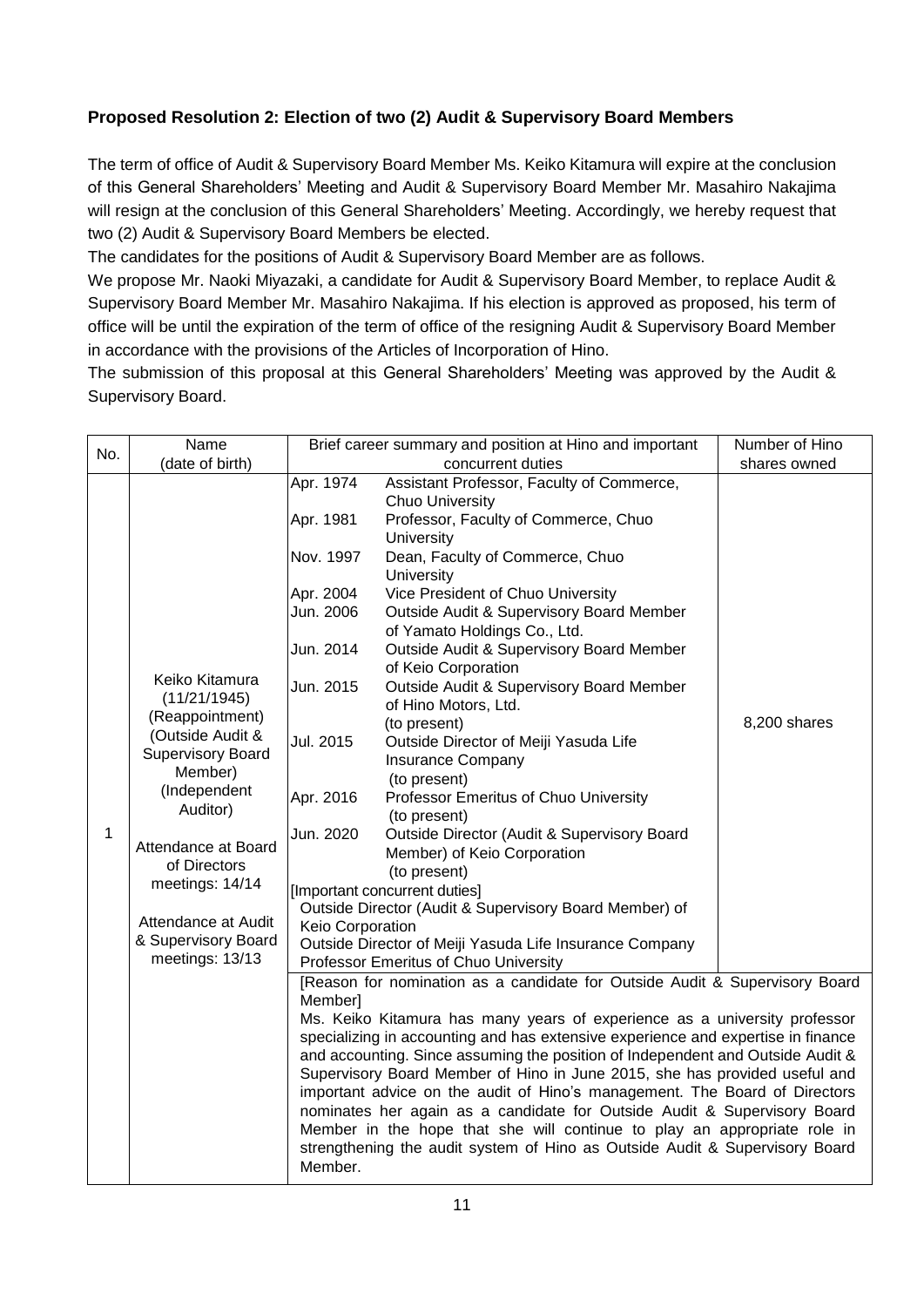## **Proposed Resolution 2: Election of two (2) Audit & Supervisory Board Members**

The term of office of Audit & Supervisory Board Member Ms. Keiko Kitamura will expire at the conclusion of this General Shareholders' Meeting and Audit & Supervisory Board Member Mr. Masahiro Nakajima will resign at the conclusion of this General Shareholders' Meeting. Accordingly, we hereby request that two (2) Audit & Supervisory Board Members be elected.

The candidates for the positions of Audit & Supervisory Board Member are as follows.

We propose Mr. Naoki Miyazaki, a candidate for Audit & Supervisory Board Member, to replace Audit & Supervisory Board Member Mr. Masahiro Nakajima. If his election is approved as proposed, his term of office will be until the expiration of the term of office of the resigning Audit & Supervisory Board Member in accordance with the provisions of the Articles of Incorporation of Hino.

The submission of this proposal at this General Shareholders' Meeting was approved by the Audit & Supervisory Board.

|     | Name                                                                                                                                                                                                                                                                |                                                                                                                                                                                                                                                                                                                                                                                                                                                                                                                                                                                                                                                                                                                                                                                                  | Brief career summary and position at Hino and important                                                                                                                                                                                                                                                                                                                                                                                                                                                                                                                                                                                                                                                                                                                                                                                              | Number of Hino |
|-----|---------------------------------------------------------------------------------------------------------------------------------------------------------------------------------------------------------------------------------------------------------------------|--------------------------------------------------------------------------------------------------------------------------------------------------------------------------------------------------------------------------------------------------------------------------------------------------------------------------------------------------------------------------------------------------------------------------------------------------------------------------------------------------------------------------------------------------------------------------------------------------------------------------------------------------------------------------------------------------------------------------------------------------------------------------------------------------|------------------------------------------------------------------------------------------------------------------------------------------------------------------------------------------------------------------------------------------------------------------------------------------------------------------------------------------------------------------------------------------------------------------------------------------------------------------------------------------------------------------------------------------------------------------------------------------------------------------------------------------------------------------------------------------------------------------------------------------------------------------------------------------------------------------------------------------------------|----------------|
| No. | (date of birth)                                                                                                                                                                                                                                                     |                                                                                                                                                                                                                                                                                                                                                                                                                                                                                                                                                                                                                                                                                                                                                                                                  | concurrent duties                                                                                                                                                                                                                                                                                                                                                                                                                                                                                                                                                                                                                                                                                                                                                                                                                                    | shares owned   |
| 1   | Keiko Kitamura<br>(11/21/1945)<br>(Reappointment)<br>(Outside Audit &<br><b>Supervisory Board</b><br>Member)<br>(Independent<br>Auditor)<br>Attendance at Board<br>of Directors<br>meetings: 14/14<br>Attendance at Audit<br>& Supervisory Board<br>meetings: 13/13 | Apr. 1974<br>Apr. 1981<br>Nov. 1997<br>Apr. 2004<br>Jun. 2006<br>Jun. 2014<br>Jun. 2015<br>Jul. 2015<br>Apr. 2016<br>Jun. 2020<br>Keio Corporation                                                                                                                                                                                                                                                                                                                                                                                                                                                                                                                                                                                                                                               | Assistant Professor, Faculty of Commerce,<br><b>Chuo University</b><br>Professor, Faculty of Commerce, Chuo<br>University<br>Dean, Faculty of Commerce, Chuo<br>University<br>Vice President of Chuo University<br>Outside Audit & Supervisory Board Member<br>of Yamato Holdings Co., Ltd.<br>Outside Audit & Supervisory Board Member<br>of Keio Corporation<br>Outside Audit & Supervisory Board Member<br>of Hino Motors, Ltd.<br>(to present)<br>Outside Director of Meiji Yasuda Life<br><b>Insurance Company</b><br>(to present)<br>Professor Emeritus of Chuo University<br>(to present)<br>Outside Director (Audit & Supervisory Board<br>Member) of Keio Corporation<br>(to present)<br>[Important concurrent duties]<br>Outside Director (Audit & Supervisory Board Member) of<br>Outside Director of Meiji Yasuda Life Insurance Company | 8,200 shares   |
|     |                                                                                                                                                                                                                                                                     | Professor Emeritus of Chuo University<br>[Reason for nomination as a candidate for Outside Audit & Supervisory Board<br>Member]<br>Ms. Keiko Kitamura has many years of experience as a university professor<br>specializing in accounting and has extensive experience and expertise in finance<br>and accounting. Since assuming the position of Independent and Outside Audit &<br>Supervisory Board Member of Hino in June 2015, she has provided useful and<br>important advice on the audit of Hino's management. The Board of Directors<br>nominates her again as a candidate for Outside Audit & Supervisory Board<br>Member in the hope that she will continue to play an appropriate role in<br>strengthening the audit system of Hino as Outside Audit & Supervisory Board<br>Member. |                                                                                                                                                                                                                                                                                                                                                                                                                                                                                                                                                                                                                                                                                                                                                                                                                                                      |                |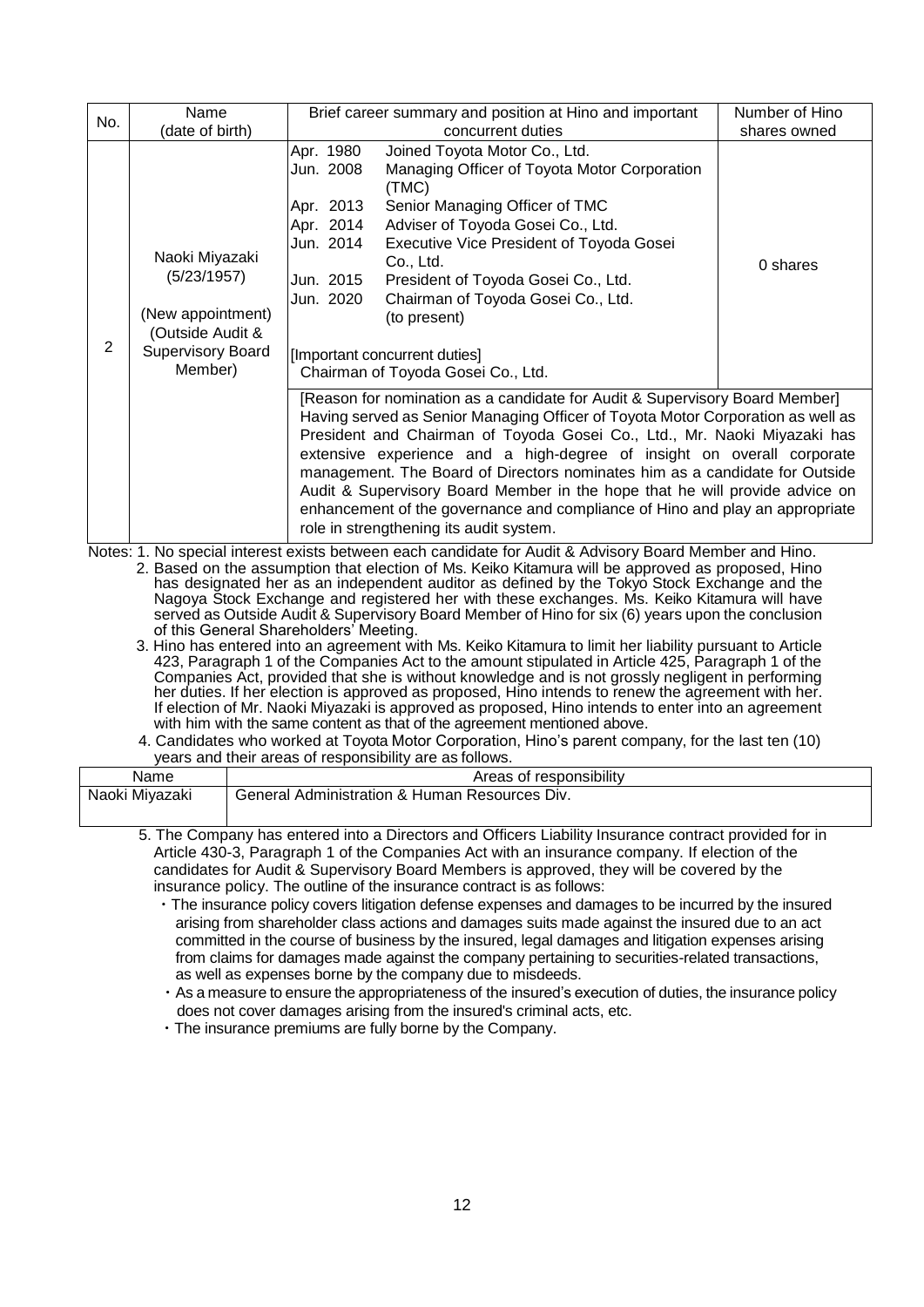| No. | Name                                                                                                          | Brief career summary and position at Hino and important                                                                                                                                                                                                                                                                                                                                                                                                                                                                                                                                                       | Number of Hino |
|-----|---------------------------------------------------------------------------------------------------------------|---------------------------------------------------------------------------------------------------------------------------------------------------------------------------------------------------------------------------------------------------------------------------------------------------------------------------------------------------------------------------------------------------------------------------------------------------------------------------------------------------------------------------------------------------------------------------------------------------------------|----------------|
|     | (date of birth)                                                                                               | concurrent duties                                                                                                                                                                                                                                                                                                                                                                                                                                                                                                                                                                                             | shares owned   |
| 2   | Naoki Miyazaki<br>(5/23/1957)<br>(New appointment)<br>(Outside Audit &<br><b>Supervisory Board</b><br>Member) | Apr. 1980<br>Joined Toyota Motor Co., Ltd.<br>Managing Officer of Toyota Motor Corporation<br>Jun. 2008<br>(TMC)<br>Apr. 2013<br>Senior Managing Officer of TMC<br>Apr. 2014<br>Adviser of Toyoda Gosei Co., Ltd.<br>Executive Vice President of Toyoda Gosei<br>Jun. 2014<br>Co., Ltd.<br>Jun. 2015<br>President of Toyoda Gosei Co., Ltd.<br>Jun. 2020<br>Chairman of Toyoda Gosei Co., Ltd.<br>(to present)<br>[Important concurrent duties]<br>Chairman of Toyoda Gosei Co., Ltd.                                                                                                                         | 0 shares       |
|     |                                                                                                               | [Reason for nomination as a candidate for Audit & Supervisory Board Member]<br>Having served as Senior Managing Officer of Toyota Motor Corporation as well as<br>President and Chairman of Toyoda Gosei Co., Ltd., Mr. Naoki Miyazaki has<br>extensive experience and a high-degree of insight on overall corporate<br>management. The Board of Directors nominates him as a candidate for Outside<br>Audit & Supervisory Board Member in the hope that he will provide advice on<br>enhancement of the governance and compliance of Hino and play an appropriate<br>role in strengthening its audit system. |                |

Notes: 1. No special interest exists between each candidate for Audit & Advisory Board Member and Hino. 2. Based on the assumption that election of Ms. Keiko Kitamura will be approved as proposed, Hino has designated her as an independent auditor as defined by the Tokyo Stock Exchange and the Nagoya Stock Exchange and registered her with these exchanges. Ms. Keiko Kitamura will have served as Outside Audit & Supervisory Board Member of Hino for six (6) years upon the conclusion of this General Shareholders' Meeting.

- 3. Hino has entered into an agreement with Ms. Keiko Kitamura to limit her liability pursuant to Article 423, Paragraph 1 of the Companies Act to the amount stipulated in Article 425, Paragraph 1 of the Companies Act, provided that she is without knowledge and is not grossly negligent in performing her duties. If her election is approved as proposed, Hino intends to renew the agreement with her. If election of Mr. Naoki Miyazaki is approved as proposed, Hino intends to enter into an agreement with him with the same content as that of the agreement mentioned above.
- 4. Candidates who worked at Toyota Motor Corporation, Hino's parent company, for the last ten (10) years and their areas of responsibility are as follows.

| Name           | Areas of responsibility                                |
|----------------|--------------------------------------------------------|
| Naoki Miyazaki | Div.<br>' Administration & Human Resources_<br>General |

- 5. The Company has entered into a Directors and Officers Liability Insurance contract provided for in Article 430-3, Paragraph 1 of the Companies Act with an insurance company. If election of the candidates for Audit & Supervisory Board Members is approved, they will be covered by the insurance policy. The outline of the insurance contract is as follows:
	- ・The insurance policy covers litigation defense expenses and damages to be incurred by the insured arising from shareholder class actions and damages suits made against the insured due to an act committed in the course of business by the insured, legal damages and litigation expenses arising from claims for damages made against the company pertaining to securities-related transactions, as well as expenses borne by the company due to misdeeds.
	- ・As a measure to ensure the appropriateness of the insured's execution of duties, the insurance policy does not cover damages arising from the insured's criminal acts, etc.

・The insurance premiums are fully borne by the Company.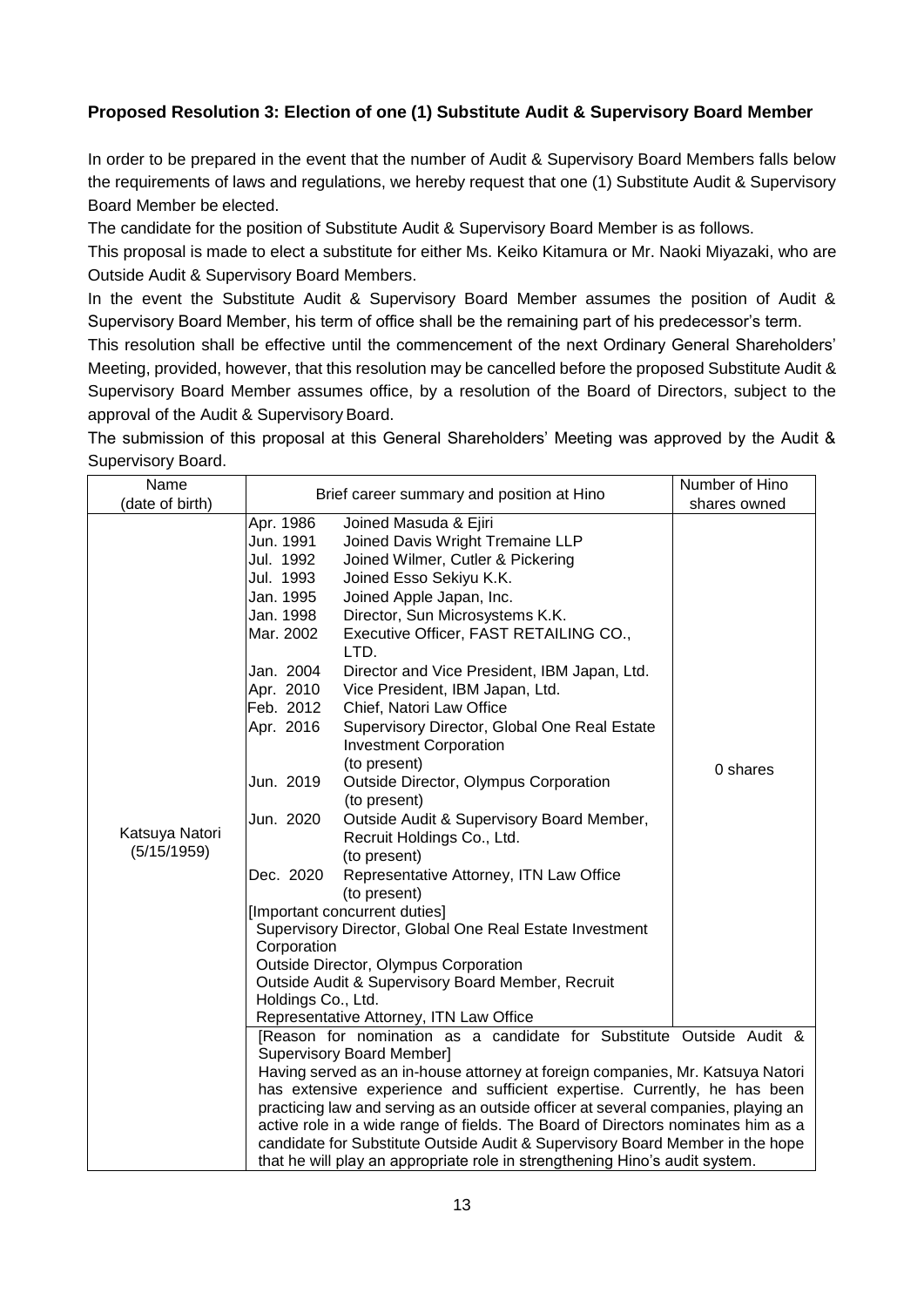## **Proposed Resolution 3: Election of one (1) Substitute Audit & Supervisory Board Member**

In order to be prepared in the event that the number of Audit & Supervisory Board Members falls below the requirements of laws and regulations, we hereby request that one (1) Substitute Audit & Supervisory Board Member be elected.

The candidate for the position of Substitute Audit & Supervisory Board Member is as follows.

This proposal is made to elect a substitute for either Ms. Keiko Kitamura or Mr. Naoki Miyazaki, who are Outside Audit & Supervisory Board Members.

In the event the Substitute Audit & Supervisory Board Member assumes the position of Audit & Supervisory Board Member, his term of office shall be the remaining part of his predecessor's term.

This resolution shall be effective until the commencement of the next Ordinary General Shareholders' Meeting, provided, however, that this resolution may be cancelled before the proposed Substitute Audit & Supervisory Board Member assumes office, by a resolution of the Board of Directors, subject to the approval of the Audit & Supervisory Board.

The submission of this proposal at this General Shareholders' Meeting was approved by the Audit & Supervisory Board.

| Name            | Brief career summary and position at Hino                                         |                                              | Number of Hino |  |  |
|-----------------|-----------------------------------------------------------------------------------|----------------------------------------------|----------------|--|--|
| (date of birth) |                                                                                   |                                              | shares owned   |  |  |
|                 | Apr. 1986                                                                         | Joined Masuda & Ejiri                        |                |  |  |
|                 | Jun. 1991                                                                         | Joined Davis Wright Tremaine LLP             |                |  |  |
|                 | Jul. 1992                                                                         | Joined Wilmer, Cutler & Pickering            |                |  |  |
|                 | Jul. 1993                                                                         | Joined Esso Sekiyu K.K.                      |                |  |  |
|                 | Jan. 1995                                                                         | Joined Apple Japan, Inc.                     |                |  |  |
|                 | Jan. 1998                                                                         | Director, Sun Microsystems K.K.              |                |  |  |
|                 | Mar. 2002                                                                         | Executive Officer, FAST RETAILING CO.,       |                |  |  |
|                 |                                                                                   | LTD.                                         |                |  |  |
|                 | Jan. 2004                                                                         | Director and Vice President, IBM Japan, Ltd. |                |  |  |
|                 | Apr. 2010                                                                         | Vice President, IBM Japan, Ltd.              |                |  |  |
|                 | Feb. 2012                                                                         | Chief, Natori Law Office                     |                |  |  |
|                 | Apr. 2016                                                                         | Supervisory Director, Global One Real Estate |                |  |  |
|                 |                                                                                   | <b>Investment Corporation</b>                | 0 shares       |  |  |
|                 |                                                                                   | (to present)                                 |                |  |  |
|                 | Jun. 2019                                                                         | Outside Director, Olympus Corporation        |                |  |  |
|                 |                                                                                   | (to present)                                 |                |  |  |
|                 | Jun. 2020                                                                         | Outside Audit & Supervisory Board Member,    |                |  |  |
| Katsuya Natori  |                                                                                   | Recruit Holdings Co., Ltd.                   |                |  |  |
| (5/15/1959)     |                                                                                   | (to present)                                 |                |  |  |
|                 | Dec. 2020                                                                         | Representative Attorney, ITN Law Office      |                |  |  |
|                 |                                                                                   | (to present)                                 |                |  |  |
|                 | [Important concurrent duties]                                                     |                                              |                |  |  |
|                 | Supervisory Director, Global One Real Estate Investment                           |                                              |                |  |  |
|                 | Corporation                                                                       |                                              |                |  |  |
|                 | Outside Director, Olympus Corporation                                             |                                              |                |  |  |
|                 | Outside Audit & Supervisory Board Member, Recruit<br>Holdings Co., Ltd.           |                                              |                |  |  |
|                 | Representative Attorney, ITN Law Office                                           |                                              |                |  |  |
|                 | [Reason for nomination as a candidate for Substitute Outside Audit &              |                                              |                |  |  |
|                 | <b>Supervisory Board Member]</b>                                                  |                                              |                |  |  |
|                 | Having served as an in-house attorney at foreign companies, Mr. Katsuya Natori    |                                              |                |  |  |
|                 | has extensive experience and sufficient expertise. Currently, he has been         |                                              |                |  |  |
|                 | practicing law and serving as an outside officer at several companies, playing an |                                              |                |  |  |
|                 | active role in a wide range of fields. The Board of Directors nominates him as a  |                                              |                |  |  |
|                 | candidate for Substitute Outside Audit & Supervisory Board Member in the hope     |                                              |                |  |  |
|                 | that he will play an appropriate role in strengthening Hino's audit system.       |                                              |                |  |  |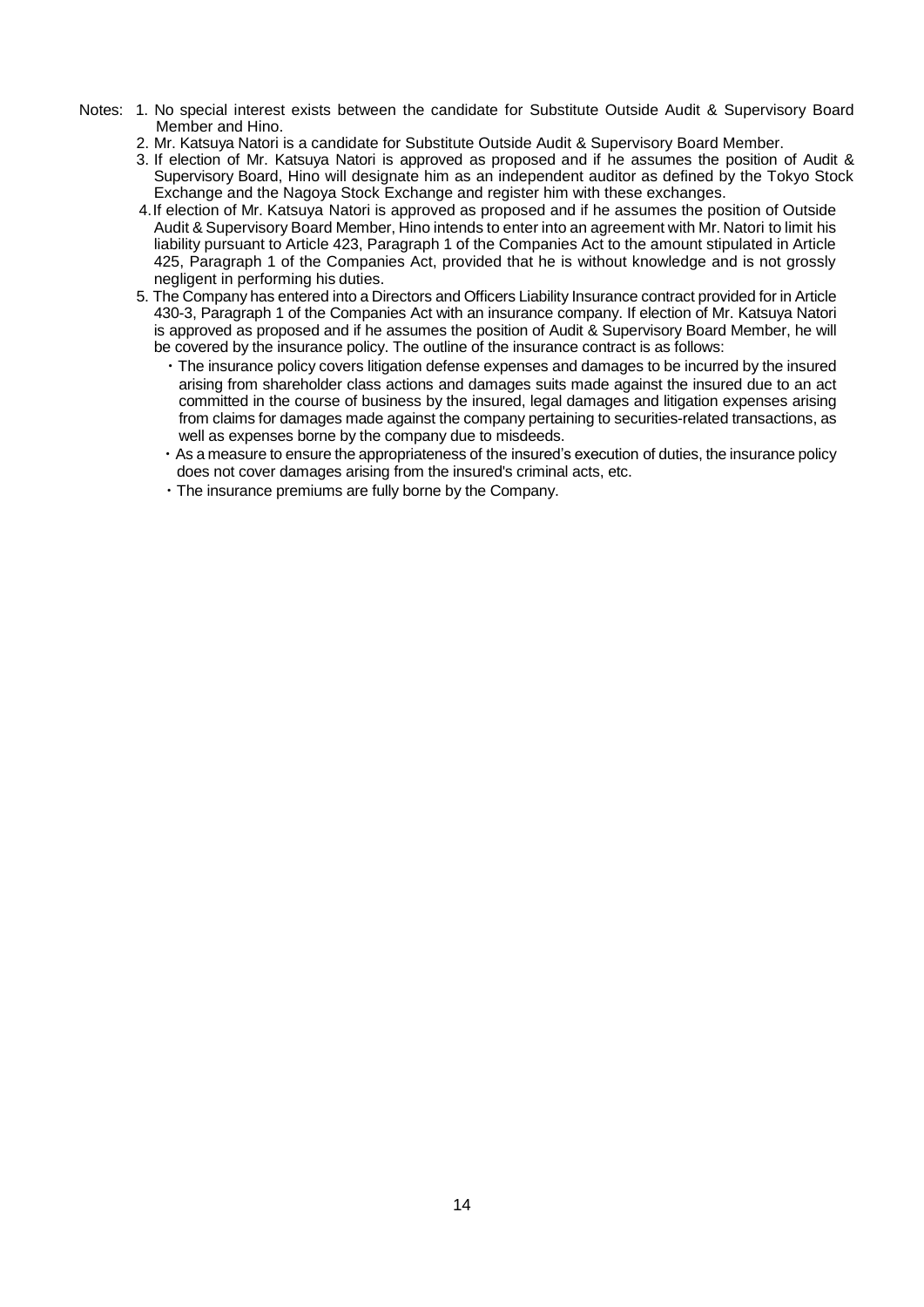- Notes: 1. No special interest exists between the candidate for Substitute Outside Audit & Supervisory Board Member and Hino.
	- 2. Mr. Katsuya Natori is a candidate for Substitute Outside Audit & Supervisory Board Member.
	- 3. If election of Mr. Katsuya Natori is approved as proposed and if he assumes the position of Audit & Supervisory Board, Hino will designate him as an independent auditor as defined by the Tokyo Stock Exchange and the Nagoya Stock Exchange and register him with these exchanges.
	- 4.If election of Mr. Katsuya Natori is approved as proposed and if he assumes the position of Outside Audit & Supervisory Board Member, Hino intends to enter into an agreement with Mr. Natori to limit his liability pursuant to Article 423, Paragraph 1 of the Companies Act to the amount stipulated in Article 425, Paragraph 1 of the Companies Act, provided that he is without knowledge and is not grossly negligent in performing his duties.
	- 5. The Company has entered into a Directors and Officers Liability Insurance contract provided for in Article 430-3, Paragraph 1 of the Companies Act with an insurance company. If election of Mr. Katsuya Natori is approved as proposed and if he assumes the position of Audit & Supervisory Board Member, he will be covered by the insurance policy. The outline of the insurance contract is as follows:
		- ・The insurance policy covers litigation defense expenses and damages to be incurred by the insured arising from shareholder class actions and damages suits made against the insured due to an act committed in the course of business by the insured, legal damages and litigation expenses arising from claims for damages made against the company pertaining to securities-related transactions, as well as expenses borne by the company due to misdeeds.
		- ・As a measure to ensure the appropriateness of the insured's execution of duties, the insurance policy does not cover damages arising from the insured's criminal acts, etc.
		- ・The insurance premiums are fully borne by the Company.